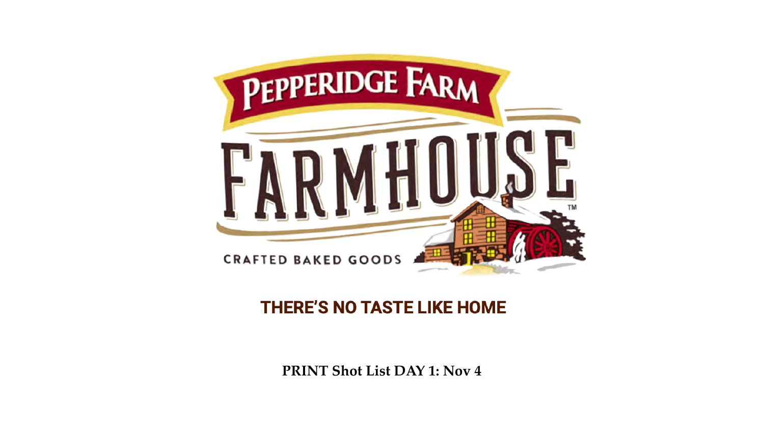# **THERE'S NO TASTE LIKE HOME**



**PRINT Shot List DAY 1: Nov 4**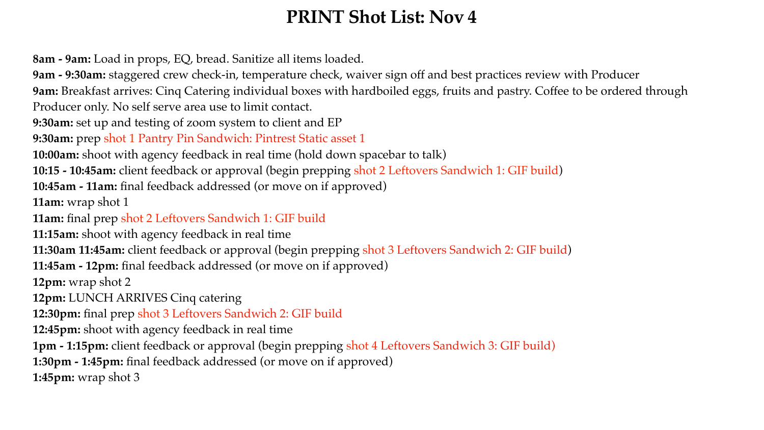# **PRINT Shot List: Nov 4**

**8am - 9am:** Load in props, EQ, bread. Sanitize all items loaded. **9am - 9:30am:** staggered crew check-in, temperature check, waiver sign off and best practices review with Producer **9am:** Breakfast arrives: Cinq Catering individual boxes with hardboiled eggs, fruits and pastry. Coffee to be ordered through Producer only. No self serve area use to limit contact.

**9:30am:** set up and testing of zoom system to client and EP **9:30am:** prep shot 1 Pantry Pin Sandwich: Pintrest Static asset 1 **10:00am:** shoot with agency feedback in real time (hold down spacebar to talk) **10:15 - 10:45am:** client feedback or approval (begin prepping shot 2 Leftovers Sandwich 1: GIF build)

**10:45am - 11am:** final feedback addressed (or move on if approved) **11am:** wrap shot 1

**11am:** final prep shot 2 Leftovers Sandwich 1: GIF build **11:15am:** shoot with agency feedback in real time **11:30am 11:45am:** client feedback or approval (begin prepping shot 3 Leftovers Sandwich 2: GIF build) **11:45am - 12pm:** final feedback addressed (or move on if approved) **12pm:** wrap shot 2 **12pm:** LUNCH ARRIVES Cinq catering

**12:30pm:** final prep shot 3 Leftovers Sandwich 2: GIF build **12:45pm:** shoot with agency feedback in real time

**1pm - 1:15pm:** client feedback or approval (begin prepping shot 4 Leftovers Sandwich 3: GIF build) **1:30pm - 1:45pm:** final feedback addressed (or move on if approved) **1:45pm:** wrap shot 3